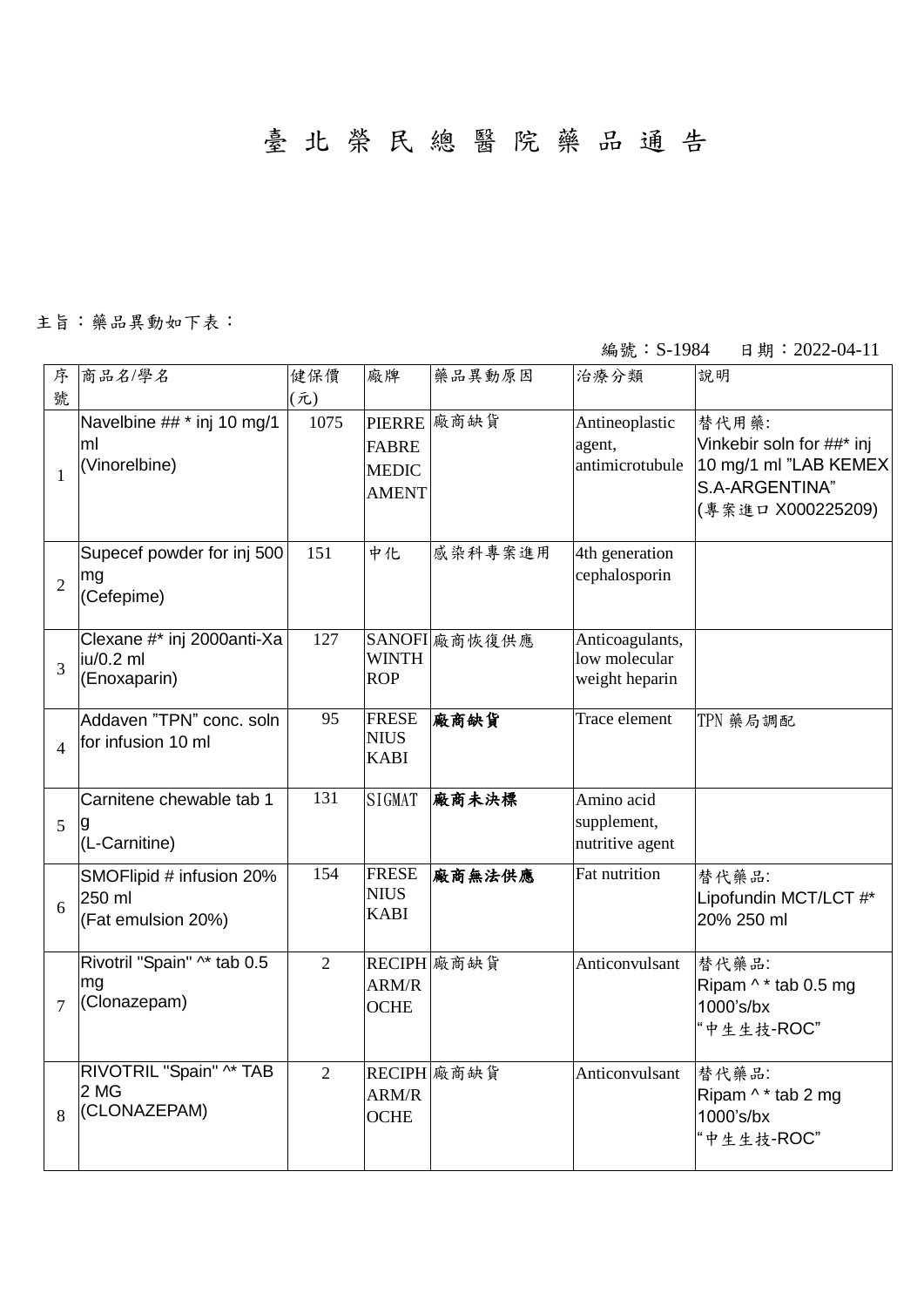臺 北 榮 民 總 醫 院 藥 品 通 告

## 主旨:藥品異動如下表:

## 編號: S-1984 日期: 2022-04-11

| 序              | 商品名/學名                                                   | 健保價            | 廠牌                                           | 藥品異動原因        | 治療分類                                               | 說明                                                                                                 |
|----------------|----------------------------------------------------------|----------------|----------------------------------------------|---------------|----------------------------------------------------|----------------------------------------------------------------------------------------------------|
| 號              |                                                          | (元)            |                                              |               |                                                    |                                                                                                    |
| $\mathbf{1}$   | Navelbine ## * inj 10 mg/1<br>ml<br>(Vinorelbine)        | 1075           | <b>FABRE</b><br><b>MEDIC</b><br><b>AMENT</b> | PIERRE 廠商缺貨   | Antineoplastic<br>agent,<br>antimicrotubule        | 替代用藥:<br>Vinkebir soln for ##* inj<br>10 mg/1 ml "LAB KEMEX<br>S.A-ARGENTINA"<br>(專案進口 X000225209) |
| $\overline{2}$ | Supecef powder for inj 500<br>mg<br>(Cefepime)           | 151            | 中化                                           | 感染科專案進用       | 4th generation<br>cephalosporin                    |                                                                                                    |
| 3              | Clexane #* inj 2000anti-Xa<br>iu/0.2 ml<br>(Enoxaparin)  | 127            | <b>WINTH</b><br><b>ROP</b>                   | SANOFI 廠商恢復供應 | Anticoagulants,<br>low molecular<br>weight heparin |                                                                                                    |
| $\overline{4}$ | Addaven "TPN" conc. soln<br>for infusion 10 ml           | 95             | <b>FRESE</b><br><b>NIUS</b><br><b>KABI</b>   | 廠商缺貨          | Trace element                                      | TPN 藥局調配                                                                                           |
| 5              | Carnitene chewable tab 1<br>(L-Carnitine)                | 131            | SIGMAT                                       | 廠商未決標         | Amino acid<br>supplement,<br>nutritive agent       |                                                                                                    |
| 6              | SMOFlipid # infusion 20%<br>250 ml<br>(Fat emulsion 20%) | 154            | <b>FRESE</b><br><b>NIUS</b><br><b>KABI</b>   | 廠商無法供應        | Fat nutrition                                      | 替代藥品:<br>Lipofundin MCT/LCT #*<br>20% 250 ml                                                       |
| $\overline{7}$ | Rivotril "Spain" ^* tab 0.5<br>mg<br>(Clonazepam)        | $\overline{2}$ | ARM/R<br><b>OCHE</b>                         | RECIPH 廠商缺貨   | Anticonvulsant                                     | 替代藥品:<br>Ripam ^ * tab 0.5 mg<br>1000's/bx<br>"中生生技-ROC"                                           |
| 8              | RIVOTRIL "Spain" ^* TAB<br>2 MG<br>(CLONAZEPAM)          | $\overline{2}$ | ARM/R<br><b>OCHE</b>                         | RECIPH 廠商缺貨   | Anticonvulsant                                     | 替代藥品:<br>Ripam ^ * tab 2 mg<br>1000's/bx<br>"中生生技-ROC"                                             |